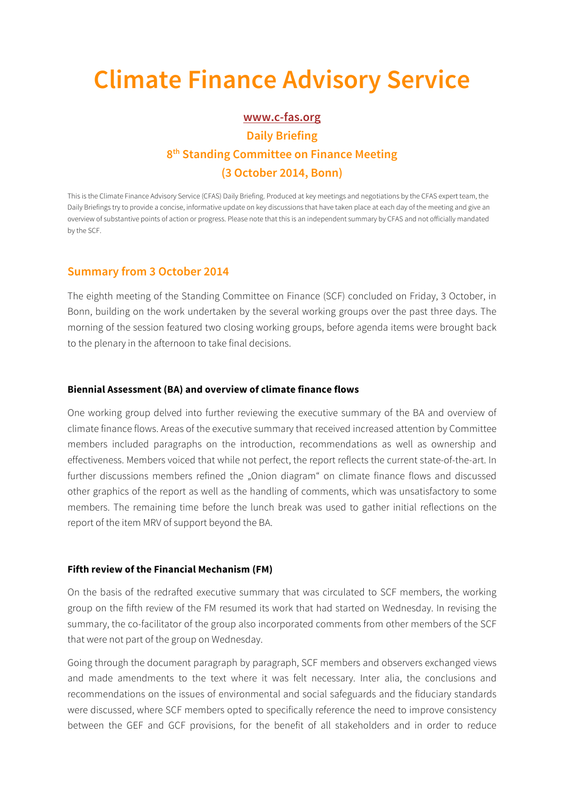# **Climate Finance Advisory Service**

# **www.c-fas.org Daily Briefing 8th Standing Committee on Finance Meeting (3 October 2014, Bonn)**

This is the Climate Finance Advisory Service (CFAS) Daily Briefing. Produced at key meetings and negotiations by the CFAS expert team, the Daily Briefings try to provide a concise, informative update on key discussions that have taken place at each day of the meeting and give an overview of substantive points of action or progress. Please note that this is an independent summary by CFAS and not officially mandated by the SCF.

## **Summary from 3 October 2014**

The eighth meeting of the Standing Committee on Finance (SCF) concluded on Friday, 3 October, in Bonn, building on the work undertaken by the several working groups over the past three days. The morning of the session featured two closing working groups, before agenda items were brought back to the plenary in the afternoon to take final decisions.

#### **Biennial Assessment (BA) and overview of climate finance flows**

One working group delved into further reviewing the executive summary of the BA and overview of climate finance flows. Areas of the executive summary that received increased attention by Committee members included paragraphs on the introduction, recommendations as well as ownership and effectiveness. Members voiced that while not perfect, the report reflects the current state-of-the-art. In further discussions members refined the "Onion diagram" on climate finance flows and discussed other graphics of the report as well as the handling of comments, which was unsatisfactory to some members. The remaining time before the lunch break was used to gather initial reflections on the report of the item MRV of support beyond the BA.

#### **Fifth review of the Financial Mechanism (FM)**

On the basis of the redrafted executive summary that was circulated to SCF members, the working group on the fifth review of the FM resumed its work that had started on Wednesday. In revising the summary, the co-facilitator of the group also incorporated comments from other members of the SCF that were not part of the group on Wednesday.

Going through the document paragraph by paragraph, SCF members and observers exchanged views and made amendments to the text where it was felt necessary. Inter alia, the conclusions and recommendations on the issues of environmental and social safeguards and the fiduciary standards were discussed, where SCF members opted to specifically reference the need to improve consistency between the GEF and GCF provisions, for the benefit of all stakeholders and in order to reduce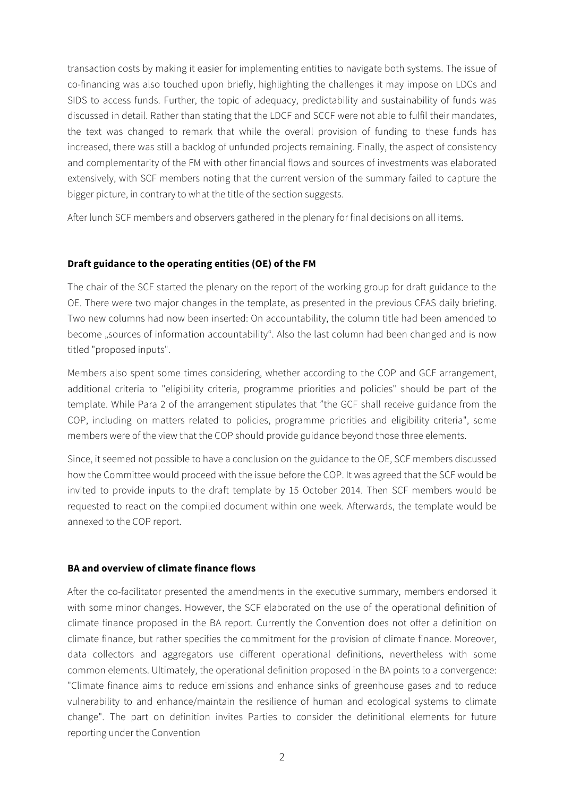transaction costs by making it easier for implementing entities to navigate both systems. The issue of co-financing was also touched upon briefly, highlighting the challenges it may impose on LDCs and SIDS to access funds. Further, the topic of adequacy, predictability and sustainability of funds was discussed in detail. Rather than stating that the LDCF and SCCF were not able to fulfil their mandates, the text was changed to remark that while the overall provision of funding to these funds has increased, there was still a backlog of unfunded projects remaining. Finally, the aspect of consistency and complementarity of the FM with other financial flows and sources of investments was elaborated extensively, with SCF members noting that the current version of the summary failed to capture the bigger picture, in contrary to what the title of the section suggests.

After lunch SCF members and observers gathered in the plenary for final decisions on all items.

### **Draft guidance to the operating entities (OE) of the FM**

The chair of the SCF started the plenary on the report of the working group for draft guidance to the OE. There were two major changes in the template, as presented in the previous CFAS daily briefing. Two new columns had now been inserted: On accountability, the column title had been amended to become "sources of information accountability". Also the last column had been changed and is now titled "proposed inputs".

Members also spent some times considering, whether according to the COP and GCF arrangement, additional criteria to "eligibility criteria, programme priorities and policies" should be part of the template. While Para 2 of the arrangement stipulates that "the GCF shall receive guidance from the COP, including on matters related to policies, programme priorities and eligibility criteria", some members were of the view that the COP should provide guidance beyond those three elements.

Since, it seemed not possible to have a conclusion on the guidance to the OE, SCF members discussed how the Committee would proceed with the issue before the COP. It was agreed that the SCF would be invited to provide inputs to the draft template by 15 October 2014. Then SCF members would be requested to react on the compiled document within one week. Afterwards, the template would be annexed to the COP report.

#### **BA and overview of climate finance flows**

After the co-facilitator presented the amendments in the executive summary, members endorsed it with some minor changes. However, the SCF elaborated on the use of the operational definition of climate finance proposed in the BA report. Currently the Convention does not offer a definition on climate finance, but rather specifies the commitment for the provision of climate finance. Moreover, data collectors and aggregators use different operational definitions, nevertheless with some common elements. Ultimately, the operational definition proposed in the BA points to a convergence: "Climate finance aims to reduce emissions and enhance sinks of greenhouse gases and to reduce vulnerability to and enhance/maintain the resilience of human and ecological systems to climate change". The part on definition invites Parties to consider the definitional elements for future reporting under the Convention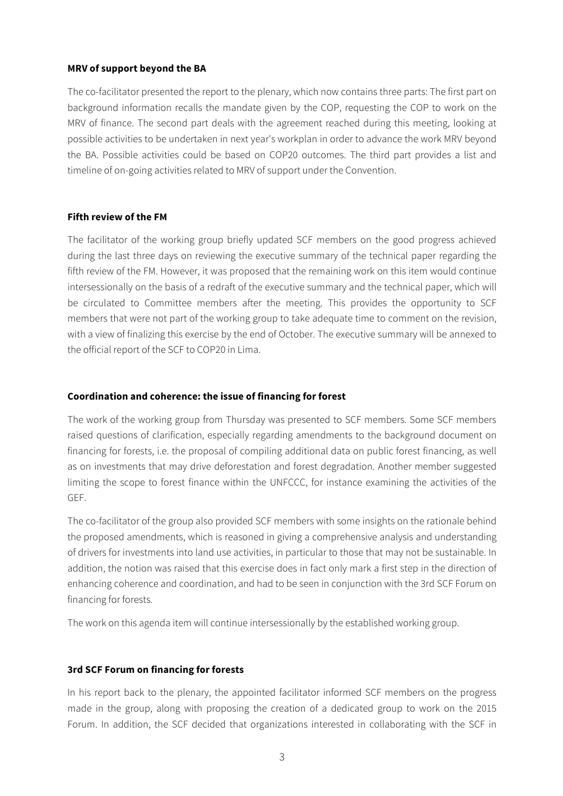#### **MRV of support beyond the BA**

The co-facilitator presented the report to the plenary, which now contains three parts: The first part on background information recalls the mandate given by the COP, requesting the COP to work on the MRV of finance. The second part deals with the agreement reached during this meeting, looking at possible activities to be undertaken in next year's workplan in order to advance the work MRV beyond the BA. Possible activities could be based on COP20 outcomes. The third part provides a list and timeline of on-going activities related to MRV of support under the Convention.

#### **Fifth review of the FM**

The facilitator of the working group briefly updated SCF members on the good progress achieved during the last three days on reviewing the executive summary of the technical paper regarding the fifth review of the FM. However, it was proposed that the remaining work on this item would continue intersessionally on the basis of a redraft of the executive summary and the technical paper, which will be circulated to Committee members after the meeting. This provides the opportunity to SCF members that were not part of the working group to take adequate time to comment on the revision, with a view of finalizing this exercise by the end of October. The executive summary will be annexed to the official report of the SCF to COP20 in Lima.

#### **Coordination and coherence: the issue of financing for forest**

The work of the working group from Thursday was presented to SCF members. Some SCF members raised questions of clarification, especially regarding amendments to the background document on financing for forests, i.e. the proposal of compiling additional data on public forest financing, as well as on investments that may drive deforestation and forest degradation. Another member suggested limiting the scope to forest finance within the UNFCCC, for instance examining the activities of the GEF.

The co-facilitator of the group also provided SCF members with some insights on the rationale behind the proposed amendments, which is reasoned in giving a comprehensive analysis and understanding of drivers for investments into land use activities, in particular to those that may not be sustainable. In addition, the notion was raised that this exercise does in fact only mark a first step in the direction of enhancing coherence and coordination, and had to be seen in conjunction with the 3rd SCF Forum on financing for forests.

The work on this agenda item will continue intersessionally by the established working group.

#### **3rd SCF Forum on financing for forests**

In his report back to the plenary, the appointed facilitator informed SCF members on the progress made in the group, along with proposing the creation of a dedicated group to work on the 2015 Forum. In addition, the SCF decided that organizations interested in collaborating with the SCF in